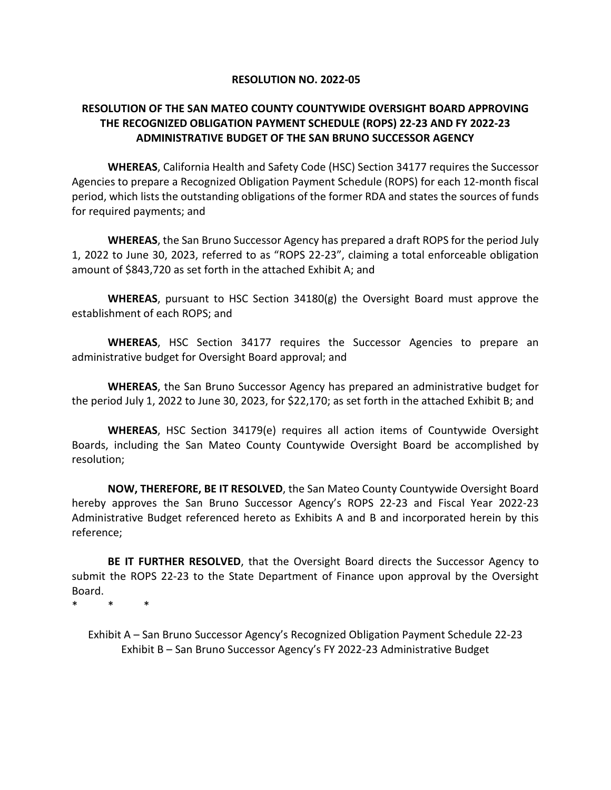### **RESOLUTION NO. 2022-05**

### **RESOLUTION OF THE SAN MATEO COUNTY COUNTYWIDE OVERSIGHT BOARD APPROVING THE RECOGNIZED OBLIGATION PAYMENT SCHEDULE (ROPS) 22-23 AND FY 2022-23 ADMINISTRATIVE BUDGET OF THE SAN BRUNO SUCCESSOR AGENCY**

**WHEREAS**, California Health and Safety Code (HSC) Section 34177 requires the Successor Agencies to prepare a Recognized Obligation Payment Schedule (ROPS) for each 12-month fiscal period, which lists the outstanding obligations of the former RDA and states the sources of funds for required payments; and

**WHEREAS**, the San Bruno Successor Agency has prepared a draft ROPS for the period July 1, 2022 to June 30, 2023, referred to as "ROPS 22-23", claiming a total enforceable obligation amount of \$843,720 as set forth in the attached Exhibit A; and

**WHEREAS**, pursuant to HSC Section 34180(g) the Oversight Board must approve the establishment of each ROPS; and

**WHEREAS**, HSC Section 34177 requires the Successor Agencies to prepare an administrative budget for Oversight Board approval; and

**WHEREAS**, the San Bruno Successor Agency has prepared an administrative budget for the period July 1, 2022 to June 30, 2023, for \$22,170; as set forth in the attached Exhibit B; and

**WHEREAS**, HSC Section 34179(e) requires all action items of Countywide Oversight Boards, including the San Mateo County Countywide Oversight Board be accomplished by resolution;

**NOW, THEREFORE, BE IT RESOLVED**, the San Mateo County Countywide Oversight Board hereby approves the San Bruno Successor Agency's ROPS 22-23 and Fiscal Year 2022-23 Administrative Budget referenced hereto as Exhibits A and B and incorporated herein by this reference;

**BE IT FURTHER RESOLVED**, that the Oversight Board directs the Successor Agency to submit the ROPS 22-23 to the State Department of Finance upon approval by the Oversight Board.

\* \* \*

Exhibit A – San Bruno Successor Agency's Recognized Obligation Payment Schedule 22-23 Exhibit B – San Bruno Successor Agency's FY 2022-23 Administrative Budget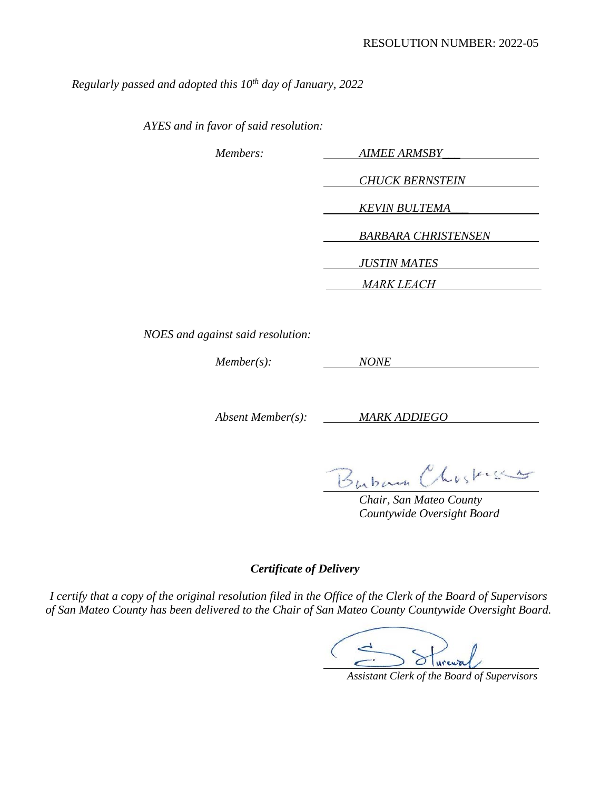*Regularly passed and adopted this 10th day of January, 2022* 

*AYES and in favor of said resolution:* 

| Members: | <b>AIMEE ARMSBY</b>        |
|----------|----------------------------|
|          |                            |
|          | <b>CHUCK BERNSTEIN</b>     |
|          | <b>KEVIN BULTEMA</b>       |
|          | <b>BARBARA CHRISTENSEN</b> |
|          | <b>JUSTIN MATES</b>        |
|          | <i>MARK LEACH</i>          |

*NOES and against said resolution:* 

*Member(s): NONE*

*Absent Member(s): MARK ADDIEGO*

Buban Chosking

*Chair, San Mateo County Countywide Oversight Board* 

### *Certificate of Delivery*

*I certify that a copy of the original resolution filed in the Office of the Clerk of the Board of Supervisors of San Mateo County has been delivered to the Chair of San Mateo County Countywide Oversight Board.* 

 *Assistant Clerk of the Board of Supervisors*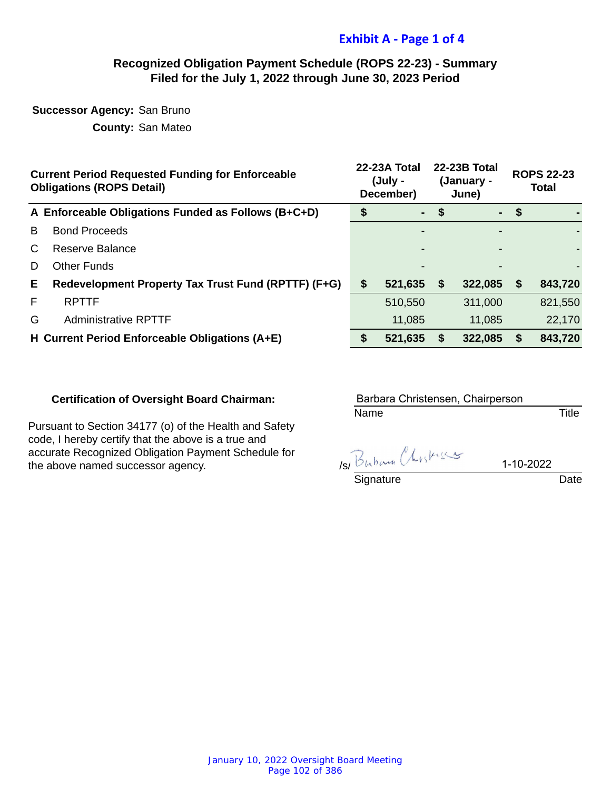# **Exhibit A - Page 1 of 4**

### **Recognized Obligation Payment Schedule (ROPS 22-23) - Summary Filed for the July 1, 2022 through June 30, 2023 Period**

**Successor Agency:** San Bruno

**County:** San Mateo

|    | <b>Current Period Requested Funding for Enforceable</b><br><b>Obligations (ROPS Detail)</b> |   | 22-23A Total<br>(July -<br>December) |                           | 22-23B Total<br>(January -<br>June) | <b>ROPS 22-23</b><br><b>Total</b> |         |  |
|----|---------------------------------------------------------------------------------------------|---|--------------------------------------|---------------------------|-------------------------------------|-----------------------------------|---------|--|
|    | A Enforceable Obligations Funded as Follows (B+C+D)                                         |   | $\blacksquare$                       | \$                        | ۰.                                  | \$                                |         |  |
| B  | <b>Bond Proceeds</b>                                                                        |   |                                      |                           |                                     |                                   |         |  |
| C  | Reserve Balance                                                                             |   |                                      |                           |                                     |                                   |         |  |
| D  | <b>Other Funds</b>                                                                          |   |                                      |                           |                                     |                                   |         |  |
| Е. | Redevelopment Property Tax Trust Fund (RPTTF) (F+G)                                         | S | 521,635                              | $\boldsymbol{\mathsf{s}}$ | 322,085                             | \$                                | 843,720 |  |
| F  | <b>RPTTF</b>                                                                                |   | 510,550                              |                           | 311,000                             |                                   | 821,550 |  |
| G  | <b>Administrative RPTTF</b>                                                                 |   | 11,085                               |                           | 11,085                              |                                   | 22,170  |  |
|    | H Current Period Enforceable Obligations (A+E)                                              |   | 521,635                              | S                         | 322,085                             | \$                                | 843,720 |  |

### **Certification of Oversight Board Chairman:**

Pursuant to Section 34177 (o) of the Health and Safety code, I hereby certify that the above is a true and accurate Recognized Obligation Payment Schedule for the above named successor agency.

Name Title Barbara Christensen, Chairperson

 $\frac{B_{h,b,c}a_{h,b,c}b_{h,c}}{Signature}$  1-10-2022 Date

1-10-2022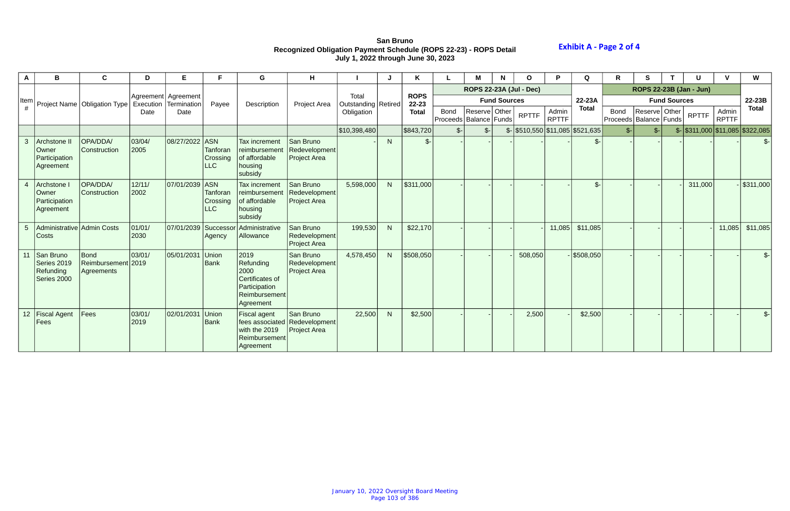# **San Bruno Recognized Obligation Payment Schedule (ROPS 22-23) - ROPS Detail July 1, 2022 through June 30, 2023**

|                | в                                                    | C                                        | D              | Е                                            | F.                                               | G                                                                                           | н                                                                 |                              |    | Κ                    |                                           |                 | N                   | O                                               |                       | Q               | R                                         | S               |  | U                       |                       | W                                             |  |  |
|----------------|------------------------------------------------------|------------------------------------------|----------------|----------------------------------------------|--------------------------------------------------|---------------------------------------------------------------------------------------------|-------------------------------------------------------------------|------------------------------|----|----------------------|-------------------------------------------|-----------------|---------------------|-------------------------------------------------|-----------------------|-----------------|-------------------------------------------|-----------------|--|-------------------------|-----------------------|-----------------------------------------------|--|--|
|                |                                                      |                                          |                |                                              |                                                  |                                                                                             |                                                                   |                              |    |                      | <b>ROPS 22-23A (Jul - Dec)</b>            |                 |                     |                                                 |                       |                 |                                           |                 |  | ROPS 22-23B (Jan - Jun) |                       |                                               |  |  |
| Item           |                                                      | Project Name   Obligation Type           |                | Agreement Agreement<br>Execution Termination | Payee                                            | Description                                                                                 | Project Area                                                      | Total<br>Outstanding Retired |    | <b>ROPS</b><br>22-23 |                                           |                 | <b>Fund Sources</b> |                                                 |                       | 22-23A          | <b>Fund Sources</b>                       |                 |  |                         | 22-23B                |                                               |  |  |
|                |                                                      |                                          | Date           | Date                                         |                                                  |                                                                                             |                                                                   | Obligation                   |    | <b>Total</b>         | <b>Bond</b><br>Proceeds   Balance   Funds | Reserve Other   |                     | <b>RPTTF</b>                                    | Admin<br><b>RPTTF</b> | <b>Total</b>    | <b>Bond</b><br>Proceeds   Balance   Funds | Reserve Other   |  | <b>RPTTF</b>            | Admin<br><b>RPTTF</b> | <b>Total</b>                                  |  |  |
|                |                                                      |                                          |                |                                              |                                                  |                                                                                             |                                                                   | \$10,398,480                 |    | \$843,720            | $S-$                                      | $\mathcal{S}$ - |                     | $\frac{1}{2}$ \\$510,550 \\$11,085 \\$521,635 \ |                       |                 | $S-$                                      | $\mathcal{S}$ - |  |                         |                       | $\frac{1}{2}$ \\$311,000 \\$11,085 \\$322,085 |  |  |
| $\mathbf{3}$   | Archstone II<br>Owner<br>Participation<br>Agreement  | OPA/DDA/<br>Construction                 | 03/04/<br>2005 | 08/27/2022                                   | <b>ASN</b><br>Tanforan<br>Crossing<br>LLC        | <b>Tax increment</b><br>reimbursement<br>of affordable<br>housing<br>subsidy                | San Bruno<br>Redevelopment<br><b>Project Area</b>                 |                              | N  | $\mathcal{S}$        |                                           |                 |                     |                                                 |                       | $\mathcal{S}$ - |                                           |                 |  |                         |                       | $\mathcal{S}$ -                               |  |  |
|                | Archstone<br>Owner<br>Participation<br>Agreement     | OPA/DDA/<br>Construction                 | 12/11/<br>2002 | 07/01/2039                                   | ASN<br><b>Tanforan</b><br>Crossing<br><b>LLC</b> | Tax increment<br>reimbursement<br>of affordable<br>housing<br>subsidy                       | San Bruno<br>Redevelopment<br><b>Project Area</b>                 | 5,598,000                    |    | \$311,000            |                                           |                 |                     |                                                 |                       | $\mathcal{S}$ - |                                           |                 |  | 311,000                 |                       | $-$ \$311,000                                 |  |  |
| 5 <sup>5</sup> | Administrative Admin Costs<br>Costs                  |                                          | 01/01/<br>2030 | 07/01/2039                                   | Successor<br>Agency                              | Administrative<br>Allowance                                                                 | San Bruno<br>Redevelopment<br><b>Project Area</b>                 | 199,530                      | N. | \$22,170             |                                           |                 |                     |                                                 | 11,085                | \$11,085        |                                           |                 |  |                         | 11,085                | \$11,085                                      |  |  |
| 11             | San Bruno<br>Series 2019<br>Refunding<br>Series 2000 | Bond<br>Reimbursement 2019<br>Agreements | 03/01/         | 05/01/2031                                   | <b>Union</b><br><b>Bank</b>                      | 2019<br>Refunding<br>2000<br>Certificates of<br>Participation<br>Reimbursement<br>Agreement | San Bruno<br>Redevelopment<br><b>Project Area</b>                 | 4,578,450                    | N. | \$508,050            |                                           |                 |                     | 508,050                                         |                       | $-$ \$508,050   |                                           |                 |  |                         |                       | $S-$                                          |  |  |
|                | 12   Fiscal Agent<br>Fees                            | Fees                                     | 03/01/<br>2019 | 02/01/2031                                   | <b>Union</b><br><b>Bank</b>                      | Fiscal agent<br>with the 2019<br><b>Reimbursement</b><br>Agreement                          | San Bruno<br>fees associated Redevelopment<br><b>Project Area</b> | 22,500                       | N. | \$2,500              |                                           |                 |                     | 2,500                                           |                       | \$2,500         |                                           |                 |  |                         |                       | $$-$                                          |  |  |

# **Exhibit A - Page 2 of 4**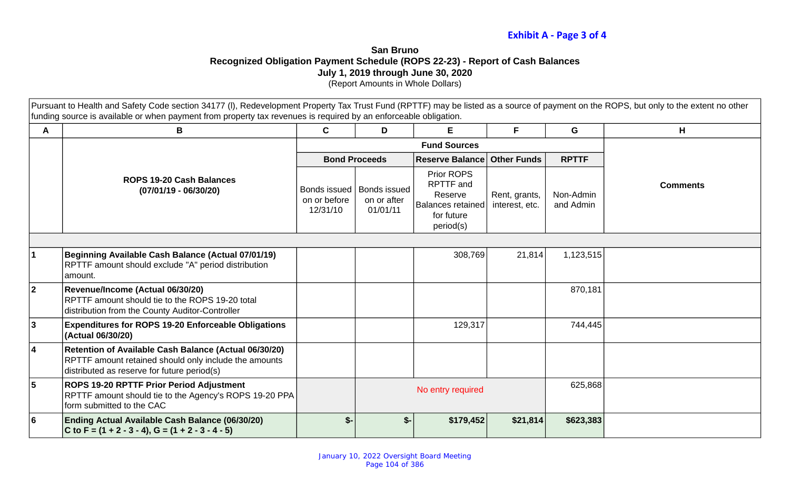# **Exhibit A - Page 3 of 4**

# **San Bruno Recognized Obligation Payment Schedule (ROPS 22-23) - Report of Cash Balances July 1, 2019 through June 30, 2020**

(Report Amounts in Whole Dollars)

Pursuant to Health and Safety Code section 34177 (I), Redevelopment Property Tax Trust Fund (RPTTF) may be listed as a source of payment on the ROPS, but only to the extent no other funding source is available or when payment from property tax revenues is required by an enforceable obligation.

| A  | B                                                                                                                                                             | $\mathbf c$                              | D                                              | E.                                                                                 | F                               | G                      | H               |  |
|----|---------------------------------------------------------------------------------------------------------------------------------------------------------------|------------------------------------------|------------------------------------------------|------------------------------------------------------------------------------------|---------------------------------|------------------------|-----------------|--|
|    |                                                                                                                                                               |                                          |                                                |                                                                                    |                                 |                        |                 |  |
|    |                                                                                                                                                               |                                          | <b>Bond Proceeds</b>                           | <b>Reserve Balance</b>                                                             | Other Funds                     | <b>RPTTF</b>           |                 |  |
|    | <b>ROPS 19-20 Cash Balances</b><br>$(07/01/19 - 06/30/20)$                                                                                                    | Bonds issued<br>on or before<br>12/31/10 | <b>Bonds issued</b><br>on or after<br>01/01/11 | Prior ROPS<br>RPTTF and<br>Reserve<br>Balances retained<br>for future<br>period(s) | Rent, grants,<br>interest, etc. | Non-Admin<br>and Admin | <b>Comments</b> |  |
|    |                                                                                                                                                               |                                          |                                                |                                                                                    |                                 |                        |                 |  |
|    | Beginning Available Cash Balance (Actual 07/01/19)<br>RPTTF amount should exclude "A" period distribution<br>amount.                                          |                                          |                                                | 308,769                                                                            | 21,814                          | 1,123,515              |                 |  |
| 2  | Revenue/Income (Actual 06/30/20)<br>RPTTF amount should tie to the ROPS 19-20 total<br>distribution from the County Auditor-Controller                        |                                          |                                                |                                                                                    |                                 | 870,181                |                 |  |
| 3  | <b>Expenditures for ROPS 19-20 Enforceable Obligations</b><br>(Actual 06/30/20)                                                                               |                                          |                                                | 129,317                                                                            |                                 | 744,445                |                 |  |
| 14 | Retention of Available Cash Balance (Actual 06/30/20)<br>RPTTF amount retained should only include the amounts<br>distributed as reserve for future period(s) |                                          |                                                |                                                                                    |                                 |                        |                 |  |
| 5  | ROPS 19-20 RPTTF Prior Period Adjustment<br>RPTTF amount should tie to the Agency's ROPS 19-20 PPA<br>form submitted to the CAC                               |                                          |                                                | No entry required                                                                  |                                 | 625,868                |                 |  |
| l6 | Ending Actual Available Cash Balance (06/30/20)<br>C to F = $(1 + 2 - 3 - 4)$ , G = $(1 + 2 - 3 - 4 - 5)$                                                     | $$-$                                     | $$-$                                           | \$179,452                                                                          | \$21,814                        | \$623,383              |                 |  |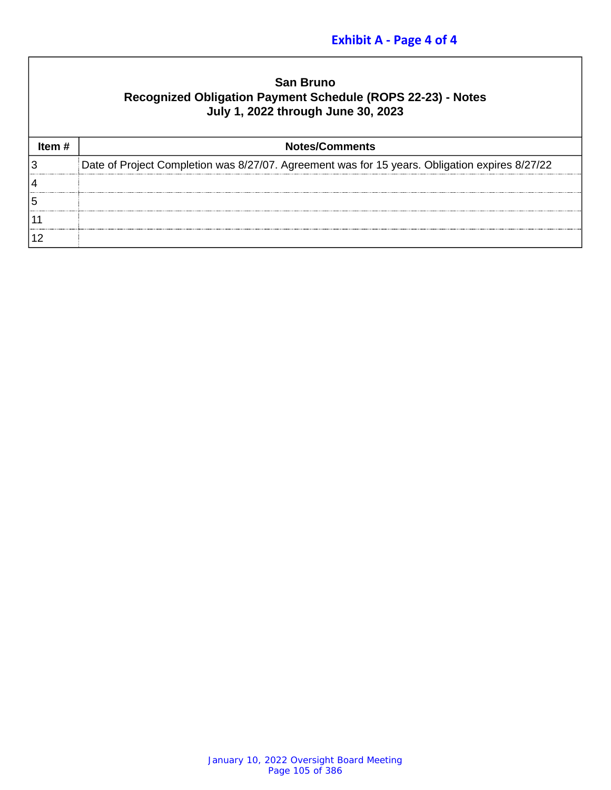# **Exhibit A - Page 4 of 4**

| <b>San Bruno</b>                                            |
|-------------------------------------------------------------|
| Recognized Obligation Payment Schedule (ROPS 22-23) - Notes |
| July 1, 2022 through June 30, 2023                          |

|   | <b>Notes/Comments</b>                                                                          |
|---|------------------------------------------------------------------------------------------------|
| 3 | Date of Project Completion was 8/27/07. Agreement was for 15 years. Obligation expires 8/27/22 |
|   |                                                                                                |
| 5 |                                                                                                |
|   |                                                                                                |
|   |                                                                                                |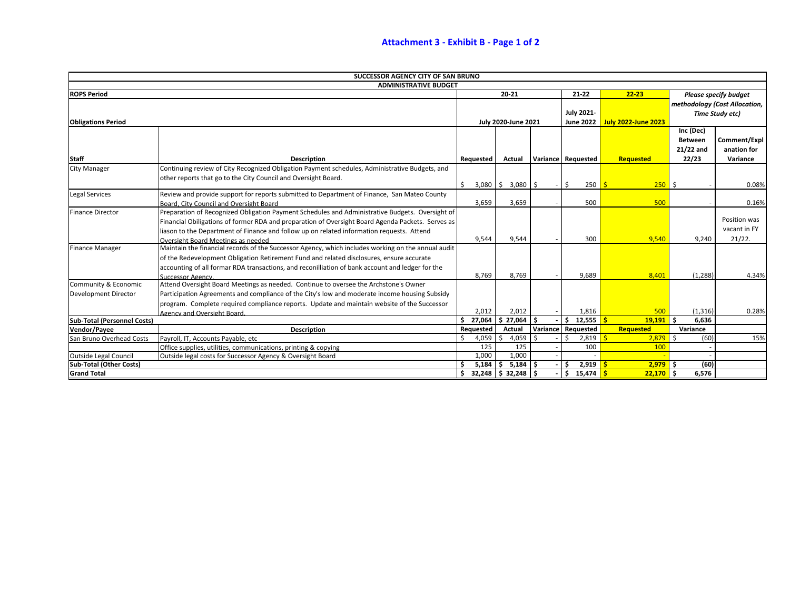|                                    | SUCCESSOR AGENCY CITY OF SAN BRUNO                                                                 |           |                                               |                                |                    |                            |                |                               |
|------------------------------------|----------------------------------------------------------------------------------------------------|-----------|-----------------------------------------------|--------------------------------|--------------------|----------------------------|----------------|-------------------------------|
|                                    | <b>ADMINISTRATIVE BUDGET</b>                                                                       |           |                                               |                                |                    |                            |                |                               |
| <b>ROPS Period</b>                 |                                                                                                    |           | $20 - 21$                                     |                                | $21 - 22$          | $22 - 23$                  |                | <b>Please specify budget</b>  |
|                                    |                                                                                                    |           |                                               |                                |                    |                            |                | methodology (Cost Allocation, |
|                                    |                                                                                                    |           |                                               |                                | <b>July 2021-</b>  |                            |                | Time Study etc)               |
| <b>Obligations Period</b>          |                                                                                                    |           | <b>July 2020-June 2021</b>                    |                                | June 2022          | <b>July 2022-June 2023</b> |                |                               |
|                                    |                                                                                                    |           |                                               |                                |                    |                            | Inc (Dec)      |                               |
|                                    |                                                                                                    |           |                                               |                                |                    |                            | <b>Between</b> | Comment/Expl                  |
|                                    |                                                                                                    |           |                                               |                                |                    |                            | $21/22$ and    | anation for                   |
| <b>Staff</b>                       | <b>Description</b>                                                                                 | Requested | Actual                                        |                                | Variance Requested | Requested                  | 22/23          | Variance                      |
| <b>City Manager</b>                | Continuing review of City Recognized Obligation Payment schedules, Administrative Budgets, and     |           |                                               |                                |                    |                            |                |                               |
|                                    | other reports that go to the City Council and Oversight Board.                                     |           |                                               |                                |                    |                            |                |                               |
|                                    |                                                                                                    | \$        | $3,080$ $\binom{6}{5}$ $3,080$ $\binom{6}{5}$ |                                | Ŝ.<br>250 S        | 250                        | l \$           | 0.08%                         |
| Legal Services                     | Review and provide support for reports submitted to Department of Finance, San Mateo County        |           |                                               |                                |                    |                            |                |                               |
|                                    | Board, City Council and Oversight Board                                                            | 3,659     | 3,659                                         |                                | 500                | 500                        |                | 0.16%                         |
| <b>Finance Director</b>            | Preparation of Recognized Obligation Payment Schedules and Administrative Budgets. Oversight of    |           |                                               |                                |                    |                            |                |                               |
|                                    | Financial Obiligations of former RDA and preparation of Oversight Board Agenda Packets. Serves as  |           |                                               |                                |                    |                            |                | Position was                  |
|                                    | liason to the Department of Finance and follow up on related information requests. Attend          |           |                                               |                                |                    |                            |                | vacant in FY                  |
|                                    | Oversight Board Meetings as needed                                                                 | 9,544     | 9,544                                         |                                | 300                | 9,540                      | 9,240          | $21/22$ .                     |
| <b>Finance Manager</b>             | Maintain the financial records of the Successor Agency, which includes working on the annual audit |           |                                               |                                |                    |                            |                |                               |
|                                    | of the Redevelopment Obligation Retirement Fund and related disclosures, ensure accurate           |           |                                               |                                |                    |                            |                |                               |
|                                    | accounting of all formar RDA transactions, and reconilliation of bank account and ledger for the   |           |                                               |                                |                    |                            |                |                               |
|                                    | Successor Agency.                                                                                  | 8,769     | 8,769                                         |                                | 9,689              | 8,401                      | (1, 288)       | 4.34%                         |
| Community & Economic               | Attend Oversight Board Meetings as needed. Continue to oversee the Archstone's Owner               |           |                                               |                                |                    |                            |                |                               |
| Development Director               | Participation Agreements and compliance of the City's low and moderate income housing Subsidy      |           |                                               |                                |                    |                            |                |                               |
|                                    | program. Complete required compliance reports. Update and maintain website of the Successor        |           |                                               |                                |                    |                            |                |                               |
|                                    | Agency and Oversight Board.                                                                        | 2,012     | 2,012                                         |                                | 1,816              | 500                        | (1, 316)       | 0.28%                         |
| <b>Sub-Total (Personnel Costs)</b> | \$27,064                                                                                           | \$27,064  |                                               | 12,555 <mark>  \$</mark><br>Ś. | 19,191             | Ŝ.<br>6,636                |                |                               |
| <b>Vendor/Payee</b>                | <b>Description</b>                                                                                 | Requested | Actual                                        |                                | Variance Requested | Requested                  | Variance       |                               |
| San Bruno Overhead Costs           | Payroll, IT, Accounts Payable, etc                                                                 | 4,059     | 4,059<br>-S                                   | Ś.                             | 2,819              | $2,879$ \$                 | (60)           | 15%                           |
|                                    | Office supplies, utilities, communications, printing & copying                                     | 125       | 125                                           |                                | 100                | 100                        |                |                               |
| <b>Outside Legal Council</b>       | Outside legal costs for Successor Agency & Oversight Board                                         | 1,000     | 1,000                                         |                                |                    |                            |                |                               |
| <b>Sub-Total (Other Costs)</b>     |                                                                                                    | 5,184     | $5,184$ \$<br>- Ś                             |                                | $2,919$ $5$<br>Ŝ.  | $2,979$ \$                 | (60)           |                               |
| <b>Grand Total</b>                 |                                                                                                    | S.        | $32,248$ \$ 32,248 \$                         |                                | $$15,474$ $$$      | $22,170$ \$                | 6,576          |                               |